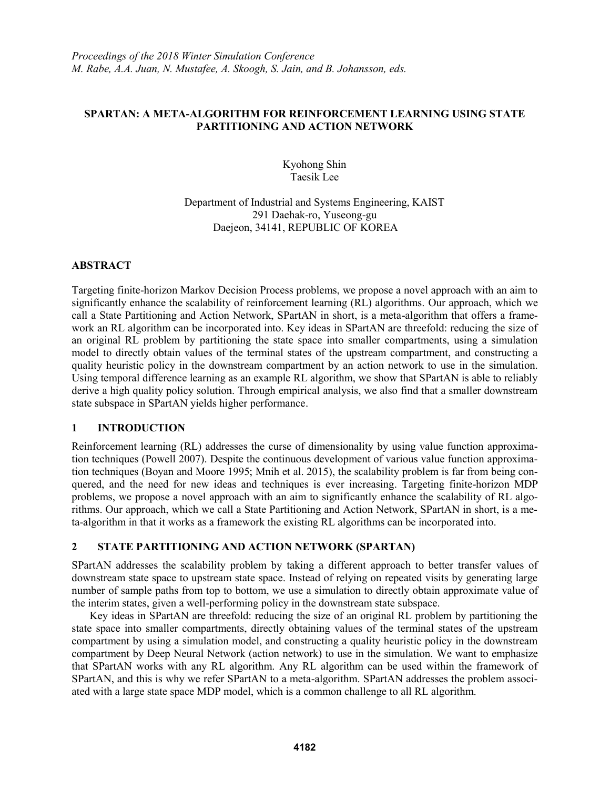## **SPARTAN: A META-ALGORITHM FOR REINFORCEMENT LEARNING USING STATE PARTITIONING AND ACTION NETWORK**

Kyohong Shin Taesik Lee

Department of Industrial and Systems Engineering, KAIST 291 Daehak-ro, Yuseong-gu Daejeon, 34141, REPUBLIC OF KOREA

# **ABSTRACT**

Targeting finite-horizon Markov Decision Process problems, we propose a novel approach with an aim to significantly enhance the scalability of reinforcement learning (RL) algorithms. Our approach, which we call a State Partitioning and Action Network, SPartAN in short, is a meta-algorithm that offers a framework an RL algorithm can be incorporated into. Key ideas in SPartAN are threefold: reducing the size of an original RL problem by partitioning the state space into smaller compartments, using a simulation model to directly obtain values of the terminal states of the upstream compartment, and constructing a quality heuristic policy in the downstream compartment by an action network to use in the simulation. Using temporal difference learning as an example RL algorithm, we show that SPartAN is able to reliably derive a high quality policy solution. Through empirical analysis, we also find that a smaller downstream state subspace in SPartAN yields higher performance.

# **1 INTRODUCTION**

Reinforcement learning (RL) addresses the curse of dimensionality by using value function approximation techniques (Powell 2007). Despite the continuous development of various value function approximation techniques (Boyan and Moore 1995; Mnih et al. 2015), the scalability problem is far from being conquered, and the need for new ideas and techniques is ever increasing. Targeting finite-horizon MDP problems, we propose a novel approach with an aim to significantly enhance the scalability of RL algorithms. Our approach, which we call a State Partitioning and Action Network, SPartAN in short, is a meta-algorithm in that it works as a framework the existing RL algorithms can be incorporated into.

### **2 STATE PARTITIONING AND ACTION NETWORK (SPARTAN)**

SPartAN addresses the scalability problem by taking a different approach to better transfer values of downstream state space to upstream state space. Instead of relying on repeated visits by generating large number of sample paths from top to bottom, we use a simulation to directly obtain approximate value of the interim states, given a well-performing policy in the downstream state subspace.

Key ideas in SPartAN are threefold: reducing the size of an original RL problem by partitioning the state space into smaller compartments, directly obtaining values of the terminal states of the upstream compartment by using a simulation model, and constructing a quality heuristic policy in the downstream compartment by Deep Neural Network (action network) to use in the simulation. We want to emphasize that SPartAN works with any RL algorithm. Any RL algorithm can be used within the framework of SPartAN, and this is why we refer SPartAN to a meta-algorithm. SPartAN addresses the problem associated with a large state space MDP model, which is a common challenge to all RL algorithm.